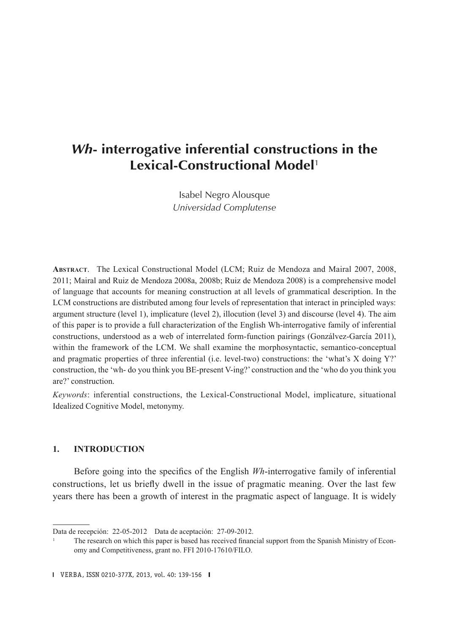# *Wh***- interrogative inferential constructions in the Lexical-Constructional Model**<sup>1</sup>

Isabel Negro Alousque *Universidad Complutense*

**Abstract**. The Lexical Constructional Model (LCM; Ruiz de Mendoza and Mairal 2007, 2008, 2011; Mairal and Ruiz de Mendoza 2008a, 2008b; Ruiz de Mendoza 2008) is a comprehensive model of language that accounts for meaning construction at all levels of grammatical description. In the LCM constructions are distributed among four levels of representation that interact in principled ways: argument structure (level 1), implicature (level 2), illocution (level 3) and discourse (level 4). The aim of this paper is to provide a full characterization of the English Wh-interrogative family of inferential constructions, understood as a web of interrelated form-function pairings (Gonzálvez-García 2011), within the framework of the LCM. We shall examine the morphosyntactic, semantico-conceptual and pragmatic properties of three inferential (i.e. level-two) constructions: the 'what's X doing Y?' construction, the 'wh- do you think you BE-present V-ing?' construction and the 'who do you think you are?' construction.

*Keywords*: inferential constructions, the Lexical-Constructional Model, implicature, situational Idealized Cognitive Model, metonymy.

#### **1. INTRODUCTION**

Before going into the specifics of the English *Wh*-interrogative family of inferential constructions, let us briefly dwell in the issue of pragmatic meaning. Over the last few years there has been a growth of interest in the pragmatic aspect of language. It is widely

Data de recepción: 22-05-2012 Data de aceptación: 27-09-2012.

<sup>1</sup> The research on which this paper is based has received financial support from the Spanish Ministry of Economy and Competitiveness, grant no. FFI 2010-17610/FILO.

VERBA, 2013, vol. 40: 139-156 VERBA, ISSN 0210-377X, 2013, vol. 40: 139-156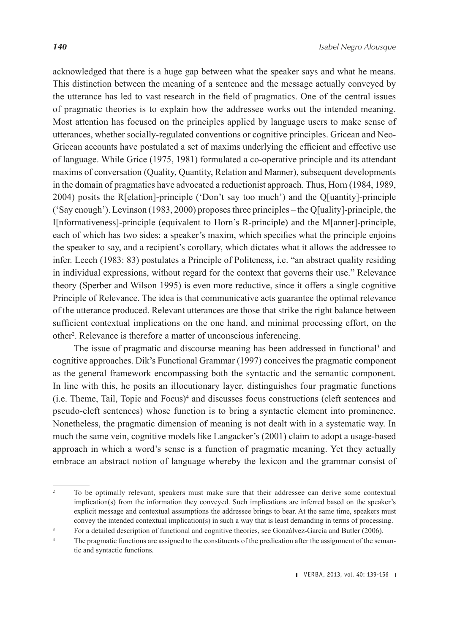acknowledged that there is a huge gap between what the speaker says and what he means. This distinction between the meaning of a sentence and the message actually conveyed by the utterance has led to vast research in the field of pragmatics. One of the central issues of pragmatic theories is to explain how the addressee works out the intended meaning. Most attention has focused on the principles applied by language users to make sense of utterances, whether socially-regulated conventions or cognitive principles. Gricean and Neo-Gricean accounts have postulated a set of maxims underlying the efficient and effective use of language. While Grice (1975, 1981) formulated a co-operative principle and its attendant maxims of conversation (Quality, Quantity, Relation and Manner), subsequent developments in the domain of pragmatics have advocated a reductionist approach. Thus, Horn (1984, 1989, 2004) posits the R[elation]-principle ('Don't say too much') and the Q[uantity]-principle ('Say enough'). Levinson (1983, 2000) proposes three principles – the Q[uality]-principle, the I[nformativeness]-principle (equivalent to Horn's R-principle) and the M[anner]-principle, each of which has two sides: a speaker's maxim, which specifies what the principle enjoins the speaker to say, and a recipient's corollary, which dictates what it allows the addressee to infer. Leech (1983: 83) postulates a Principle of Politeness, i.e. "an abstract quality residing in individual expressions, without regard for the context that governs their use." Relevance theory (Sperber and Wilson 1995) is even more reductive, since it offers a single cognitive Principle of Relevance. The idea is that communicative acts guarantee the optimal relevance of the utterance produced. Relevant utterances are those that strike the right balance between sufficient contextual implications on the one hand, and minimal processing effort, on the other2 . Relevance is therefore a matter of unconscious inferencing.

The issue of pragmatic and discourse meaning has been addressed in functional<sup>3</sup> and cognitive approaches. Dik's Functional Grammar (1997) conceives the pragmatic component as the general framework encompassing both the syntactic and the semantic component. In line with this, he posits an illocutionary layer, distinguishes four pragmatic functions (i.e. Theme, Tail, Topic and Focus)4 and discusses focus constructions (cleft sentences and pseudo-cleft sentences) whose function is to bring a syntactic element into prominence. Nonetheless, the pragmatic dimension of meaning is not dealt with in a systematic way. In much the same vein, cognitive models like Langacker's (2001) claim to adopt a usage-based approach in which a word's sense is a function of pragmatic meaning. Yet they actually embrace an abstract notion of language whereby the lexicon and the grammar consist of

<sup>&</sup>lt;sup>2</sup> To be optimally relevant, speakers must make sure that their addressee can derive some contextual implication(s) from the information they conveyed. Such implications are inferred based on the speaker's explicit message and contextual assumptions the addressee brings to bear. At the same time, speakers must convey the intended contextual implication(s) in such a way that is least demanding in terms of processing.

<sup>&</sup>lt;sup>3</sup> For a detailed description of functional and cognitive theories, see Gonzálvez-García and Butler (2006).

The pragmatic functions are assigned to the constituents of the predication after the assignment of the semantic and syntactic functions.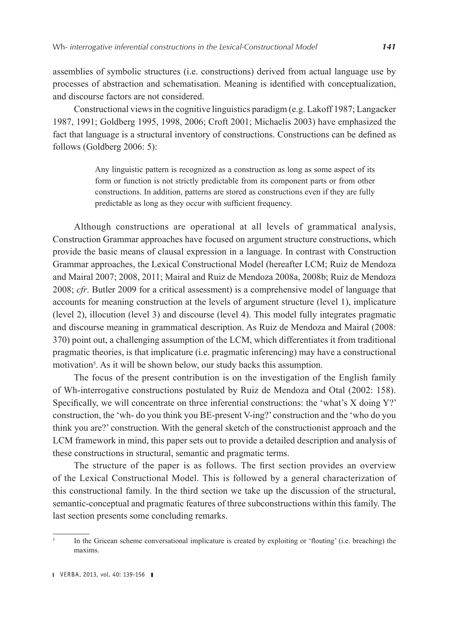assemblies of symbolic structures (i.e. constructions) derived from actual language use by processes of abstraction and schematisation. Meaning is identified with conceptualization, and discourse factors are not considered.

Constructional views in the cognitive linguistics paradigm (e.g. Lakoff 1987; Langacker 1987, 1991; Goldberg 1995, 1998, 2006; Croft 2001; Michaelis 2003) have emphasized the fact that language is a structural inventory of constructions. Constructions can be defined as follows (Goldberg 2006: 5):

> Any linguistic pattern is recognized as a construction as long as some aspect of its form or function is not strictly predictable from its component parts or from other constructions. In addition, patterns are stored as constructions even if they are fully predictable as long as they occur with sufficient frequency.

Although constructions are operational at all levels of grammatical analysis, Construction Grammar approaches have focused on argument structure constructions, which provide the basic means of clausal expression in a language. In contrast with Construction Grammar approaches, the Lexical Constructional Model (hereafter LCM; Ruiz de Mendoza and Mairal 2007; 2008, 2011; Mairal and Ruiz de Mendoza 2008a, 2008b; Ruiz de Mendoza 2008; *cfr*. Butler 2009 for a critical assessment) is a comprehensive model of language that accounts for meaning construction at the levels of argument structure (level 1), implicature (level 2), illocution (level 3) and discourse (level 4). This model fully integrates pragmatic and discourse meaning in grammatical description. As Ruiz de Mendoza and Mairal (2008: 370) point out, a challenging assumption of the LCM, which differentiates it from traditional pragmatic theories, is that implicature (i.e. pragmatic inferencing) may have a constructional motivation<sup>5</sup>. As it will be shown below, our study backs this assumption.

The focus of the present contribution is on the investigation of the English family of Wh-interrogative constructions postulated by Ruiz de Mendoza and Otal (2002: 158). Specifically, we will concentrate on three inferential constructions: the 'what's X doing Y?' construction, the 'wh- do you think you BE-present V-ing?' construction and the 'who do you think you are?' construction. With the general sketch of the constructionist approach and the LCM framework in mind, this paper sets out to provide a detailed description and analysis of these constructions in structural, semantic and pragmatic terms.

The structure of the paper is as follows. The first section provides an overview of the Lexical Constructional Model. This is followed by a general characterization of this constructional family. In the third section we take up the discussion of the structural, semantic-conceptual and pragmatic features of three subconstructions within this family. The last section presents some concluding remarks.

In the Gricean scheme conversational implicature is created by exploiting or 'flouting' (i.e. breaching) the maxims.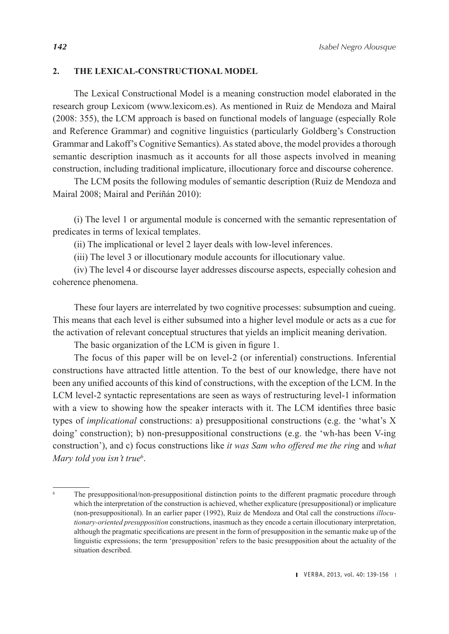## **2. THE LEXICAL-CONSTRUCTIONAL MODEL**

The Lexical Constructional Model is a meaning construction model elaborated in the research group Lexicom [\(www.lexicom.es\)](http://www.lexicom.es). As mentioned in Ruiz de Mendoza and Mairal (2008: 355), the LCM approach is based on functional models of language (especially Role and Reference Grammar) and cognitive linguistics (particularly Goldberg's Construction Grammar and Lakoff's Cognitive Semantics). As stated above, the model provides a thorough semantic description inasmuch as it accounts for all those aspects involved in meaning construction, including traditional implicature, illocutionary force and discourse coherence.

The LCM posits the following modules of semantic description (Ruiz de Mendoza and Mairal 2008; Mairal and Periñán 2010):

(i) The level 1 or argumental module is concerned with the semantic representation of predicates in terms of lexical templates.

(ii) The implicational or level 2 layer deals with low-level inferences.

(iii) The level 3 or illocutionary module accounts for illocutionary value.

(iv) The level 4 or discourse layer addresses discourse aspects, especially cohesion and coherence phenomena.

These four layers are interrelated by two cognitive processes: subsumption and cueing. This means that each level is either subsumed into a higher level module or acts as a cue for the activation of relevant conceptual structures that yields an implicit meaning derivation.

The basic organization of the LCM is given in figure 1.

The focus of this paper will be on level-2 (or inferential) constructions. Inferential constructions have attracted little attention. To the best of our knowledge, there have not been any unified accounts of this kind of constructions, with the exception of the LCM. In the LCM level-2 syntactic representations are seen as ways of restructuring level-1 information with a view to showing how the speaker interacts with it. The LCM identifies three basic types of *implicational* constructions: a) presuppositional constructions (e.g. the 'what's X doing' construction); b) non-presuppositional constructions (e.g. the 'wh-has been V-ing construction'), and c) focus constructions like *it was Sam who offered me the ring* and *what Mary told you isn't true*<sup>6</sup> .

The presuppositional/non-presuppositional distinction points to the different pragmatic procedure through which the interpretation of the construction is achieved, whether explicature (presuppositional) or implicature (non-presuppositional). In an earlier paper (1992), Ruiz de Mendoza and Otal call the constructions *illocutionary-oriented presupposition* constructions, inasmuch as they encode a certain illocutionary interpretation, although the pragmatic specifications are present in the form of presupposition in the semantic make up of the linguistic expressions; the term 'presupposition' refers to the basic presupposition about the actuality of the situation described.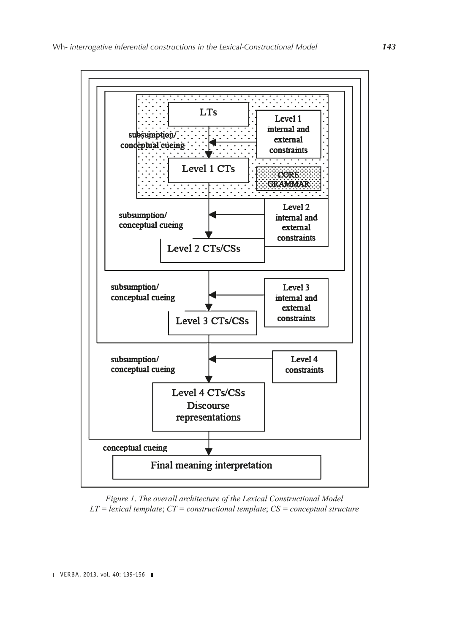

*Figure 1*. *The overall architecture of the Lexical Constructional Model LT = lexical template*; *CT = constructional template*; *CS = conceptual structure*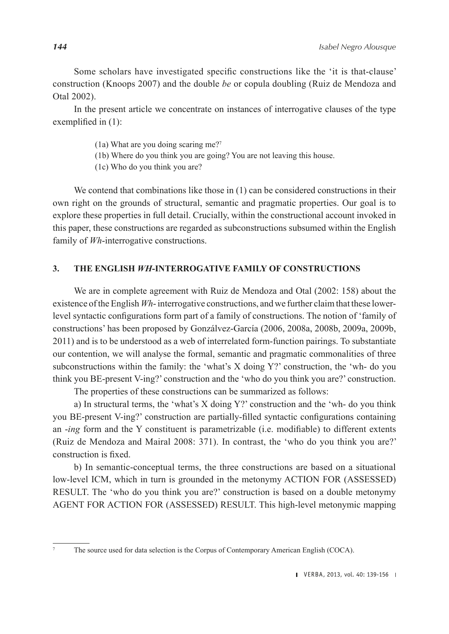Some scholars have investigated specific constructions like the 'it is that-clause' construction (Knoops 2007) and the double *be* or copula doubling (Ruiz de Mendoza and Otal 2002).

In the present article we concentrate on instances of interrogative clauses of the type exemplified in (1):

- (1a) What are you doing scaring me?7
- (1b) Where do you think you are going? You are not leaving this house.
- (1c) Who do you think you are?

We contend that combinations like those in (1) can be considered constructions in their own right on the grounds of structural, semantic and pragmatic properties. Our goal is to explore these properties in full detail. Crucially, within the constructional account invoked in this paper, these constructions are regarded as subconstructions subsumed within the English family of *Wh*-interrogative constructions.

### **3. THE ENGLISH** *WH***-INTERROGATIVE FAMILY OF CONSTRUCTIONS**

We are in complete agreement with Ruiz de Mendoza and Otal (2002: 158) about the existence of the English *Wh*- interrogative constructions, and we further claim that these lowerlevel syntactic configurations form part of a family of constructions. The notion of 'family of constructions' has been proposed by Gonzálvez-García (2006, 2008a, 2008b, 2009a, 2009b, 2011) and is to be understood as a web of interrelated form-function pairings. To substantiate our contention, we will analyse the formal, semantic and pragmatic commonalities of three subconstructions within the family: the 'what's X doing Y?' construction, the 'wh- do you think you BE-present V-ing?' construction and the 'who do you think you are?' construction.

The properties of these constructions can be summarized as follows:

a) In structural terms, the 'what's X doing Y?' construction and the 'wh- do you think you BE-present V-ing?' construction are partially-filled syntactic configurations containing an -*ing* form and the Y constituent is parametrizable (i.e. modifiable) to different extents (Ruiz de Mendoza and Mairal 2008: 371). In contrast, the 'who do you think you are?' construction is fixed.

b) In semantic-conceptual terms, the three constructions are based on a situational low-level ICM, which in turn is grounded in the metonymy ACTION FOR (ASSESSED) RESULT. The 'who do you think you are?' construction is based on a double metonymy AGENT FOR ACTION FOR (ASSESSED) RESULT. This high-level metonymic mapping

<sup>7</sup> The source used for data selection is the Corpus of Contemporary American English (COCA).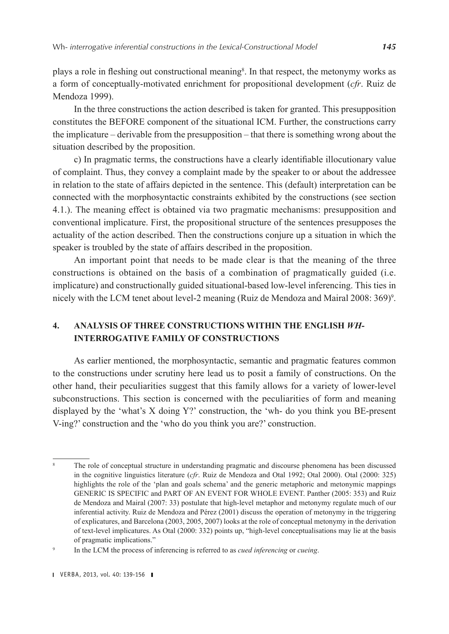plays a role in fleshing out constructional meaning<sup>8</sup>. In that respect, the metonymy works as a form of conceptually-motivated enrichment for propositional development (*cfr*. Ruiz de Mendoza 1999).

In the three constructions the action described is taken for granted. This presupposition constitutes the BEFORE component of the situational ICM. Further, the constructions carry the implicature – derivable from the presupposition – that there is something wrong about the situation described by the proposition.

c) In pragmatic terms, the constructions have a clearly identifiable illocutionary value of complaint. Thus, they convey a complaint made by the speaker to or about the addressee in relation to the state of affairs depicted in the sentence. This (default) interpretation can be connected with the morphosyntactic constraints exhibited by the constructions (see section 4.1.). The meaning effect is obtained via two pragmatic mechanisms: presupposition and conventional implicature. First, the propositional structure of the sentences presupposes the actuality of the action described. Then the constructions conjure up a situation in which the speaker is troubled by the state of affairs described in the proposition.

An important point that needs to be made clear is that the meaning of the three constructions is obtained on the basis of a combination of pragmatically guided (i.e. implicature) and constructionally guided situational-based low-level inferencing. This ties in nicely with the LCM tenet about level-2 meaning (Ruiz de Mendoza and Mairal 2008: 369)<sup>9</sup>.

# **4. ANALYSIS OF THREE CONSTRUCTIONS WITHIN THE ENGLISH** *WH***-INTERROGATIVE FAMILY OF CONSTRUCTIONS**

As earlier mentioned, the morphosyntactic, semantic and pragmatic features common to the constructions under scrutiny here lead us to posit a family of constructions. On the other hand, their peculiarities suggest that this family allows for a variety of lower-level subconstructions. This section is concerned with the peculiarities of form and meaning displayed by the 'what's X doing Y?' construction, the 'wh- do you think you BE-present V-ing?' construction and the 'who do you think you are?' construction.

The role of conceptual structure in understanding pragmatic and discourse phenomena has been discussed in the cognitive linguistics literature (*cfr*. Ruiz de Mendoza and Otal 1992; Otal 2000). Otal (2000: 325) highlights the role of the 'plan and goals schema' and the generic metaphoric and metonymic mappings GENERIC IS SPECIFIC and PART OF AN EVENT FOR WHOLE EVENT. Panther (2005: 353) and Ruiz de Mendoza and Mairal (2007: 33) postulate that high-level metaphor and metonymy regulate much of our inferential activity. Ruiz de Mendoza and Pérez (2001) discuss the operation of metonymy in the triggering of explicatures, and Barcelona (2003, 2005, 2007) looks at the role of conceptual metonymy in the derivation of text-level implicatures. As Otal (2000: 332) points up, "high-level conceptualisations may lie at the basis of pragmatic implications."

<sup>9</sup> In the LCM the process of inferencing is referred to as *cued inferencing* or *cueing*.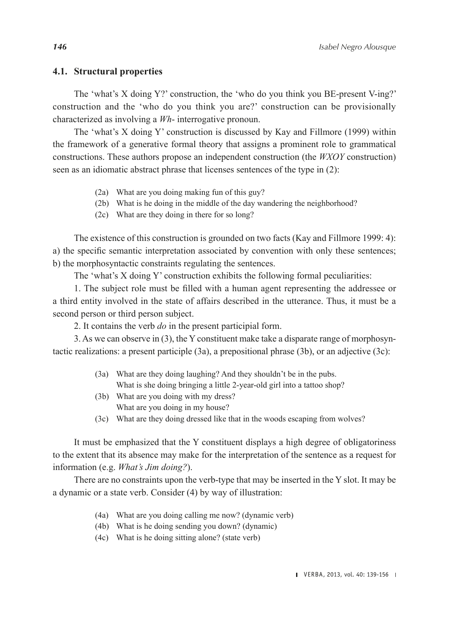#### **4.1. Structural properties**

The 'what's X doing Y?' construction, the 'who do you think you BE-present V-ing?' construction and the 'who do you think you are?' construction can be provisionally characterized as involving a *Wh*- interrogative pronoun.

The 'what's X doing Y' construction is discussed by Kay and Fillmore (1999) within the framework of a generative formal theory that assigns a prominent role to grammatical constructions. These authors propose an independent construction (the *WXOY* construction) seen as an idiomatic abstract phrase that licenses sentences of the type in (2):

- (2a) What are you doing making fun of this guy?
- (2b) What is he doing in the middle of the day wandering the neighborhood?
- (2c) What are they doing in there for so long?

The existence of this construction is grounded on two facts (Kay and Fillmore 1999: 4): a) the specific semantic interpretation associated by convention with only these sentences; b) the morphosyntactic constraints regulating the sentences.

The 'what's X doing Y' construction exhibits the following formal peculiarities:

1. The subject role must be filled with a human agent representing the addressee or a third entity involved in the state of affairs described in the utterance. Thus, it must be a second person or third person subject.

2. It contains the verb *do* in the present participial form.

3. As we can observe in (3), the Y constituent make take a disparate range of morphosyntactic realizations: a present participle (3a), a prepositional phrase (3b), or an adjective (3c):

- (3a) What are they doing laughing? And they shouldn't be in the pubs. What is she doing bringing a little 2-year-old girl into a tattoo shop?
- (3b) What are you doing with my dress? What are you doing in my house?
- (3c) What are they doing dressed like that in the woods escaping from wolves?

It must be emphasized that the Y constituent displays a high degree of obligatoriness to the extent that its absence may make for the interpretation of the sentence as a request for information (e.g. *What's Jim doing?*).

There are no constraints upon the verb-type that may be inserted in the Y slot. It may be a dynamic or a state verb. Consider (4) by way of illustration:

- (4a) What are you doing calling me now? (dynamic verb)
- (4b) What is he doing sending you down? (dynamic)
- (4c) What is he doing sitting alone? (state verb)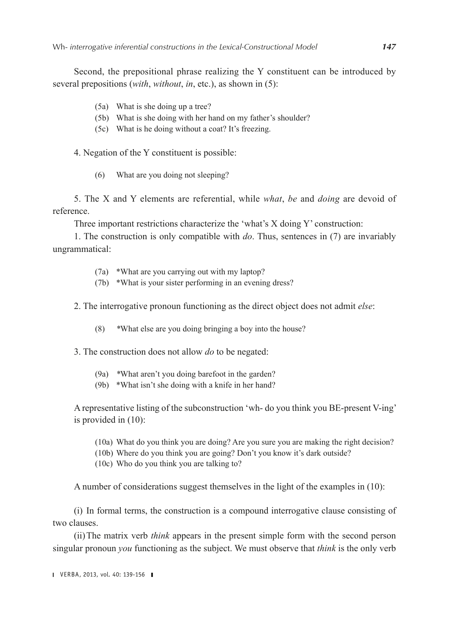Second, the prepositional phrase realizing the Y constituent can be introduced by several prepositions (*with*, *without*, *in*, etc.), as shown in (5):

- (5a) What is she doing up a tree?
- (5b) What is she doing with her hand on my father's shoulder?
- (5c) What is he doing without a coat? It's freezing.

4. Negation of the Y constituent is possible:

(6) What are you doing not sleeping?

5. The X and Y elements are referential, while *what*, *be* and *doing* are devoid of reference.

Three important restrictions characterize the 'what's X doing Y' construction:

1. The construction is only compatible with *do*. Thus, sentences in (7) are invariably ungrammatical:

- (7a) \*What are you carrying out with my laptop?
- (7b) \*What is your sister performing in an evening dress?

2. The interrogative pronoun functioning as the direct object does not admit *else*:

(8) *\**What else are you doing bringing a boy into the house?

3. The construction does not allow *do* to be negated:

- (9a) *\**What aren't you doing barefoot in the garden?
- (9b) \*What isn't she doing with a knife in her hand?

A representative listing of the subconstruction 'wh- do you think you BE-present V-ing' is provided in (10):

- (10a) What do you think you are doing? Are you sure you are making the right decision?
- (10b) Where do you think you are going? Don't you know it's dark outside?
- (10c) Who do you think you are talking to?

A number of considerations suggest themselves in the light of the examples in (10):

(i) In formal terms, the construction is a compound interrogative clause consisting of two clauses.

(ii)The matrix verb *think* appears in the present simple form with the second person singular pronoun *you* functioning as the subject. We must observe that *think* is the only verb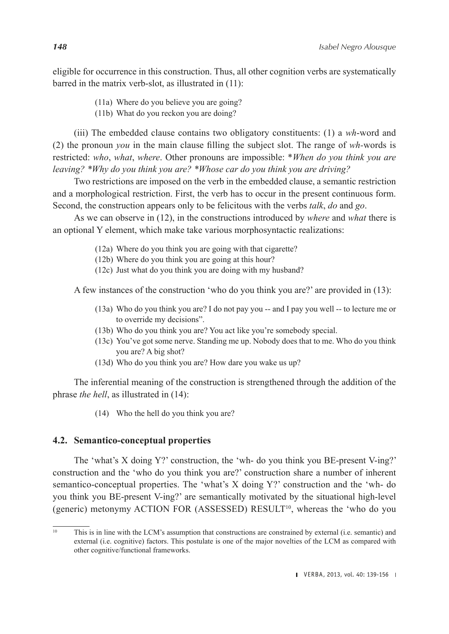eligible for occurrence in this construction. Thus, all other cognition verbs are systematically barred in the matrix verb-slot, as illustrated in (11):

(11a) Where do you believe you are going?

(11b) What do you reckon you are doing?

(iii) The embedded clause contains two obligatory constituents: (1) a *wh*-word and (2) the pronoun *you* in the main clause filling the subject slot. The range of *wh-*words is restricted: *who*, *what*, *where*. Other pronouns are impossible: \**When do you think you are leaving? \*Why do you think you are? \*Whose car do you think you are driving?*

Two restrictions are imposed on the verb in the embedded clause, a semantic restriction and a morphological restriction. First, the verb has to occur in the present continuous form. Second, the construction appears only to be felicitous with the verbs *talk*, *do* and *go*.

As we can observe in (12), in the constructions introduced by *where* and *what* there is an optional Y element, which make take various morphosyntactic realizations:

- (12a) Where do you think you are going with that cigarette?
- (12b) Where do you think you are going at this hour?
- (12c) Just what do you think you are doing with my husband?

A few instances of the construction 'who do you think you are?' are provided in (13):

- (13a) Who do you think you are? I do not pay you -- and I pay you well -- to lecture me or to override my decisions".
- (13b) Who do you think you are? You act like you're somebody special.
- (13c) You've got some nerve. Standing me up. Nobody does that to me. Who do you think you are? A big shot?
- (13d) Who do you think you are? How dare you wake us up?

The inferential meaning of the construction is strengthened through the addition of the phrase *the hell*, as illustrated in (14):

(14) Who the hell do you think you are?

# **4.2. Semantico-conceptual properties**

The 'what's X doing Y?' construction, the 'wh- do you think you BE-present V-ing?' construction and the 'who do you think you are?' construction share a number of inherent semantico-conceptual properties. The 'what's X doing Y?' construction and the 'wh- do you think you BE-present V-ing?' are semantically motivated by the situational high-level (generic) metonymy ACTION FOR (ASSESSED)  $RESULT^{10}$ , whereas the 'who do you

<sup>&</sup>lt;sup>10</sup> This is in line with the LCM's assumption that constructions are constrained by external (i.e. semantic) and external (i.e. cognitive) factors. This postulate is one of the major novelties of the LCM as compared with other cognitive/functional frameworks.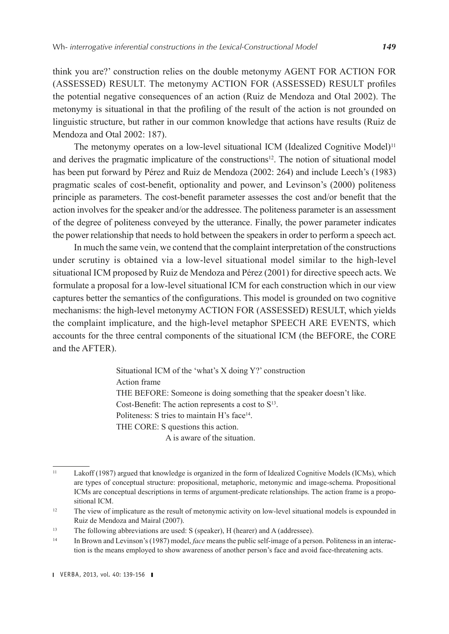think you are?' construction relies on the double metonymy AGENT FOR ACTION FOR (ASSESSED) RESULT. The metonymy ACTION FOR (ASSESSED) RESULT profiles the potential negative consequences of an action (Ruiz de Mendoza and Otal 2002). The metonymy is situational in that the profiling of the result of the action is not grounded on linguistic structure, but rather in our common knowledge that actions have results (Ruiz de Mendoza and Otal 2002: 187).

The metonymy operates on a low-level situational ICM (Idealized Cognitive Model)<sup>11</sup> and derives the pragmatic implicature of the constructions<sup>12</sup>. The notion of situational model has been put forward by Pérez and Ruiz de Mendoza (2002: 264) and include Leech's (1983) pragmatic scales of cost-benefit, optionality and power, and Levinson's (2000) politeness principle as parameters. The cost-benefit parameter assesses the cost and/or benefit that the action involves for the speaker and/or the addressee. The politeness parameter is an assessment of the degree of politeness conveyed by the utterance. Finally, the power parameter indicates the power relationship that needs to hold between the speakers in order to perform a speech act.

In much the same vein, we contend that the complaint interpretation of the constructions under scrutiny is obtained via a low-level situational model similar to the high-level situational ICM proposed by Ruiz de Mendoza and Pérez (2001) for directive speech acts. We formulate a proposal for a low-level situational ICM for each construction which in our view captures better the semantics of the configurations. This model is grounded on two cognitive mechanisms: the high-level metonymy ACTION FOR (ASSESSED) RESULT, which yields the complaint implicature, and the high-level metaphor SPEECH ARE EVENTS, which accounts for the three central components of the situational ICM (the BEFORE, the CORE and the AFTER).

> Situational ICM of the 'what's X doing Y?' construction Action frame THE BEFORE: Someone is doing something that the speaker doesn't like. Cost-Benefit: The action represents a cost to  $S<sup>13</sup>$ . Politeness: S tries to maintain H's face<sup>14</sup>. THE CORE: S questions this action. A is aware of the situation.

<sup>11</sup> Lakoff (1987) argued that knowledge is organized in the form of Idealized Cognitive Models (ICMs), which are types of conceptual structure: propositional, metaphoric, metonymic and image-schema. Propositional ICMs are conceptual descriptions in terms of argument-predicate relationships. The action frame is a propositional ICM.

<sup>&</sup>lt;sup>12</sup> The view of implicature as the result of metonymic activity on low-level situational models is expounded in Ruiz de Mendoza and Mairal (2007).

<sup>13</sup> The following abbreviations are used: S (speaker), H (hearer) and A (addressee).

<sup>14</sup> In Brown and Levinson's (1987) model, *face* means the public self-image of a person. Politeness in an interaction is the means employed to show awareness of another person's face and avoid face-threatening acts.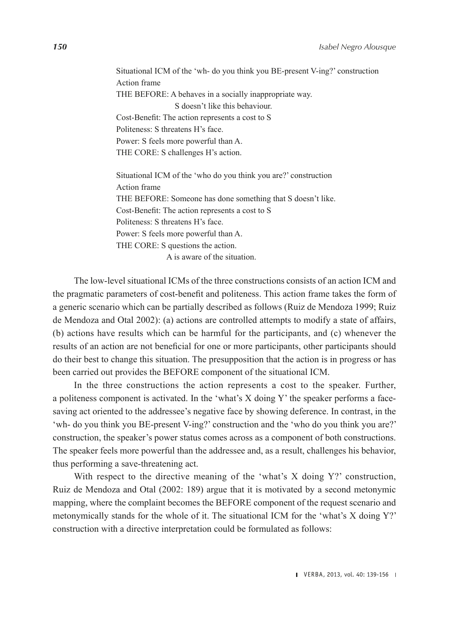Situational ICM of the 'wh- do you think you BE-present V-ing?' construction Action frame THE BEFORE: A behaves in a socially inappropriate way. S doesn't like this behaviour. Cost-Benefit: The action represents a cost to S Politeness: S threatens H's face. Power: S feels more powerful than A. THE CORE: S challenges H's action. Situational ICM of the 'who do you think you are?' construction Action frame THE BEFORE: Someone has done something that S doesn't like. Cost-Benefit: The action represents a cost to S Politeness: S threatens H's face.

Power: S feels more powerful than A.

THE CORE: S questions the action.

A is aware of the situation.

The low-level situational ICMs of the three constructions consists of an action ICM and the pragmatic parameters of cost-benefit and politeness. This action frame takes the form of a generic scenario which can be partially described as follows (Ruiz de Mendoza 1999; Ruiz de Mendoza and Otal 2002): (a) actions are controlled attempts to modify a state of affairs, (b) actions have results which can be harmful for the participants, and (c) whenever the results of an action are not beneficial for one or more participants, other participants should do their best to change this situation. The presupposition that the action is in progress or has been carried out provides the BEFORE component of the situational ICM.

In the three constructions the action represents a cost to the speaker. Further, a politeness component is activated. In the 'what's X doing Y' the speaker performs a facesaving act oriented to the addressee's negative face by showing deference. In contrast, in the 'wh- do you think you BE-present V-ing?' construction and the 'who do you think you are?' construction, the speaker's power status comes across as a component of both constructions. The speaker feels more powerful than the addressee and, as a result, challenges his behavior, thus performing a save-threatening act.

With respect to the directive meaning of the 'what's X doing Y?' construction, Ruiz de Mendoza and Otal (2002: 189) argue that it is motivated by a second metonymic mapping, where the complaint becomes the BEFORE component of the request scenario and metonymically stands for the whole of it. The situational ICM for the 'what's X doing Y?' construction with a directive interpretation could be formulated as follows: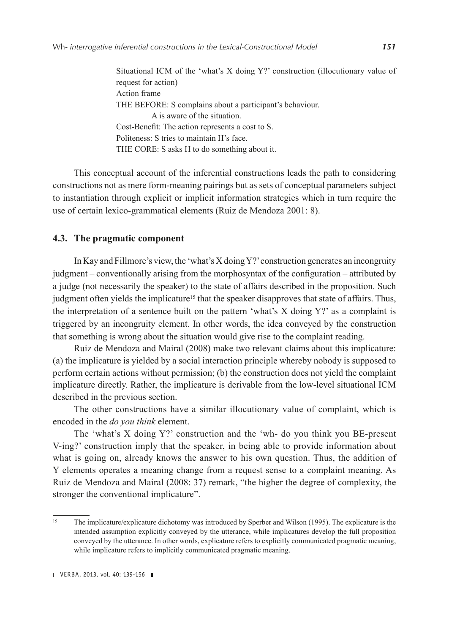Situational ICM of the 'what's X doing Y?' construction (illocutionary value of request for action) Action frame THE BEFORE: S complains about a participant's behaviour. A is aware of the situation. Cost-Benefit: The action represents a cost to S. Politeness: S tries to maintain H's face. THE CORE: S asks H to do something about it.

This conceptual account of the inferential constructions leads the path to considering constructions not as mere form-meaning pairings but as sets of conceptual parameters subject to instantiation through explicit or implicit information strategies which in turn require the use of certain lexico-grammatical elements (Ruiz de Mendoza 2001: 8).

#### **4.3. The pragmatic component**

In Kay and Fillmore's view, the 'what's X doing Y?' construction generates an incongruity judgment – conventionally arising from the morphosyntax of the configuration – attributed by a judge (not necessarily the speaker) to the state of affairs described in the proposition. Such judgment often yields the implicature<sup>15</sup> that the speaker disapproves that state of affairs. Thus, the interpretation of a sentence built on the pattern 'what's  $X$  doing  $Y$ ?' as a complaint is triggered by an incongruity element. In other words, the idea conveyed by the construction that something is wrong about the situation would give rise to the complaint reading.

Ruiz de Mendoza and Mairal (2008) make two relevant claims about this implicature: (a) the implicature is yielded by a social interaction principle whereby nobody is supposed to perform certain actions without permission; (b) the construction does not yield the complaint implicature directly. Rather, the implicature is derivable from the low-level situational ICM described in the previous section.

The other constructions have a similar illocutionary value of complaint, which is encoded in the *do you think* element.

The 'what's X doing Y?' construction and the 'wh- do you think you BE-present V-ing?' construction imply that the speaker, in being able to provide information about what is going on, already knows the answer to his own question. Thus, the addition of Y elements operates a meaning change from a request sense to a complaint meaning. As Ruiz de Mendoza and Mairal (2008: 37) remark, "the higher the degree of complexity, the stronger the conventional implicature".

<sup>&</sup>lt;sup>15</sup> The implicature/explicature dichotomy was introduced by Sperber and Wilson (1995). The explicature is the intended assumption explicitly conveyed by the utterance, while implicatures develop the full proposition conveyed by the utterance. In other words, explicature refers to explicitly communicated pragmatic meaning, while implicature refers to implicitly communicated pragmatic meaning.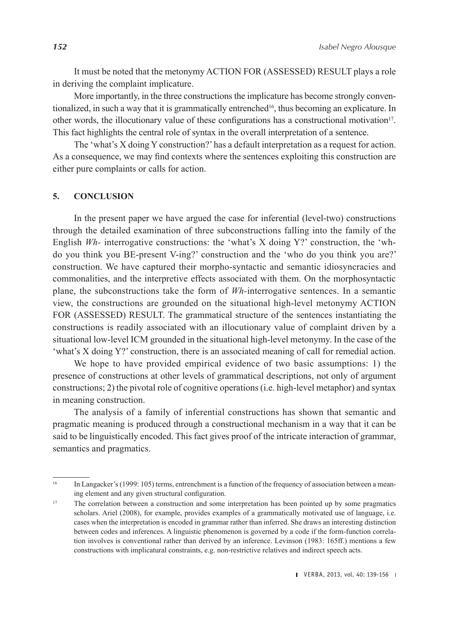It must be noted that the metonymy ACTION FOR (ASSESSED) RESULT plays a role in deriving the complaint implicature.

More importantly, in the three constructions the implicature has become strongly conventionalized, in such a way that it is grammatically entrenched<sup>16</sup>, thus becoming an explicature. In other words, the illocutionary value of these configurations has a constructional motivation17. This fact highlights the central role of syntax in the overall interpretation of a sentence.

The 'what's X doing Y construction?' has a default interpretation as a request for action. As a consequence, we may find contexts where the sentences exploiting this construction are either pure complaints or calls for action.

#### **5. CONCLUSION**

In the present paper we have argued the case for inferential (level-two) constructions through the detailed examination of three subconstructions falling into the family of the English *Wh-* interrogative constructions: the 'what's X doing Y?' construction, the 'whdo you think you BE-present V-ing?' construction and the 'who do you think you are?' construction. We have captured their morpho-syntactic and semantic idiosyncracies and commonalities, and the interpretive effects associated with them. On the morphosyntactic plane, the subconstructions take the form of *Wh-*interrogative sentences. In a semantic view, the constructions are grounded on the situational high-level metonymy ACTION FOR (ASSESSED) RESULT. The grammatical structure of the sentences instantiating the constructions is readily associated with an illocutionary value of complaint driven by a situational low-level ICM grounded in the situational high-level metonymy. In the case of the 'what's X doing Y?' construction, there is an associated meaning of call for remedial action.

We hope to have provided empirical evidence of two basic assumptions: 1) the presence of constructions at other levels of grammatical descriptions, not only of argument constructions; 2) the pivotal role of cognitive operations (i.e. high-level metaphor) and syntax in meaning construction.

The analysis of a family of inferential constructions has shown that semantic and pragmatic meaning is produced through a constructional mechanism in a way that it can be said to be linguistically encoded. This fact gives proof of the intricate interaction of grammar, semantics and pragmatics.

<sup>&</sup>lt;sup>16</sup> In Langacker's (1999: 105) terms, entrenchment is a function of the frequency of association between a meaning element and any given structural configuration.

<sup>&</sup>lt;sup>17</sup> The correlation between a construction and some interpretation has been pointed up by some pragmatics scholars. Ariel (2008), for example, provides examples of a grammatically motivated use of language, i.e. cases when the interpretation is encoded in grammar rather than inferred. She draws an interesting distinction between codes and inferences. A linguistic phenomenon is governed by a code if the form-function correlation involves is conventional rather than derived by an inference. Levinson (1983: 165ff.) mentions a few constructions with implicatural constraints, e.g. non-restrictive relatives and indirect speech acts.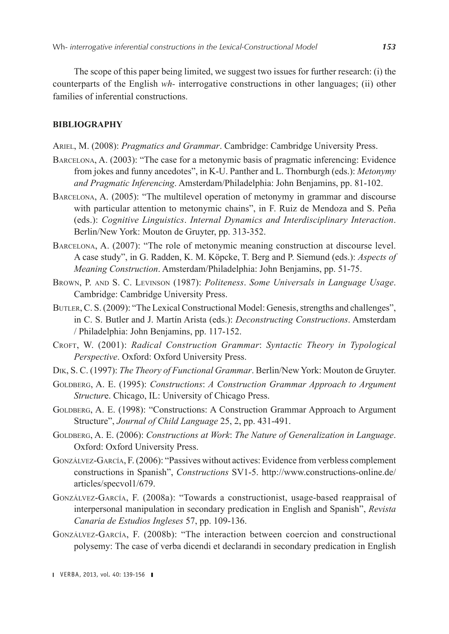The scope of this paper being limited, we suggest two issues for further research: (i) the counterparts of the English *wh-* interrogative constructions in other languages; (ii) other families of inferential constructions.

#### **BIBLIOGRAPHY**

- Ariel, M. (2008): *Pragmatics and Grammar*. Cambridge: Cambridge University Press.
- Barcelona, A. (2003): "The case for a metonymic basis of pragmatic inferencing: Evidence from jokes and funny ancedotes", in K-U. Panther and L. Thornburgh (eds.): *Metonymy and Pragmatic Inferencing*. Amsterdam/Philadelphia: John Benjamins, pp. 81-102.
- Barcelona, A. (2005): "The multilevel operation of metonymy in grammar and discourse with particular attention to metonymic chains", in F. Ruiz de Mendoza and S. Peña (eds.): *Cognitive Linguistics*. *Internal Dynamics and Interdisciplinary Interaction*. Berlin/New York: Mouton de Gruyter, pp. 313-352.
- Barcelona, A. (2007): "The role of metonymic meaning construction at discourse level. A case study", in G. Radden, K. M. Köpcke, T. Berg and P. Siemund (eds.): *Aspects of Meaning Construction*. Amsterdam/Philadelphia: John Benjamins, pp. 51-75.
- Brown, P. and S. C. Levinson (1987): *Politeness*. *Some Universals in Language Usage*. Cambridge: Cambridge University Press.
- Butler, C. S. (2009): "The Lexical Constructional Model: Genesis, strengths and challenges", in C. S. Butler and J. Martín Arista (eds.): *Deconstructing Constructions*. Amsterdam / Philadelphia: John Benjamins, pp. 117-152.
- Croft, W. (2001): *Radical Construction Grammar*: *Syntactic Theory in Typological Perspective*. Oxford: Oxford University Press.
- Dik, S. C. (1997): *The Theory of Functional Grammar*. Berlin/New York: Mouton de Gruyter.
- GOLDBERG, A. E. (1995): *Constructions: A Construction Grammar Approach to Argument Structur*e. Chicago, IL: University of Chicago Press.
- GOLDBERG, A. E. (1998): "Constructions: A Construction Grammar Approach to Argument Structure", *Journal of Child Language* 25, 2, pp. 431-491.
- Goldberg, A. E. (2006): *Constructions at Work*: *The Nature of Generalization in Language*. Oxford: Oxford University Press.
- Gonzálvez-García, F. (2006): "Passives without actives: Evidence from verbless complement constructions in Spanish", *Constructions* SV1-5. [http://www.constructions-online.de/](http://www.constructions-online.de/articles/specvol1/679) [articles/specvol1/679](http://www.constructions-online.de/articles/specvol1/679).
- Gonzálvez-García, F. (2008a): "Towards a constructionist, usage-based reappraisal of interpersonal manipulation in secondary predication in English and Spanish", *Revista Canaria de Estudios Ingleses* 57, pp. 109-136.
- Gonzálvez-García, F. (2008b): "The interaction between coercion and constructional polysemy: The case of verba dicendi et declarandi in secondary predication in English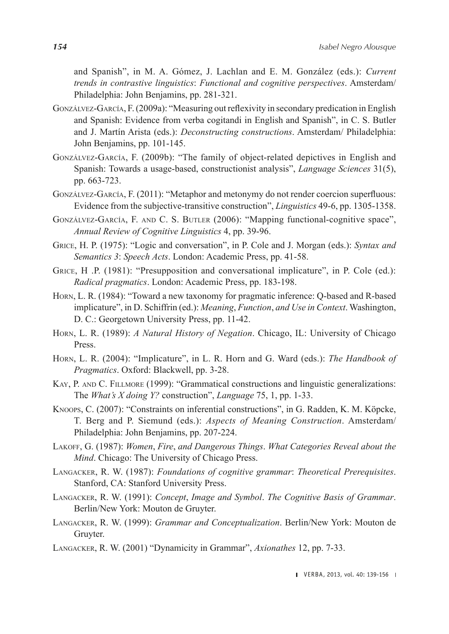and Spanish", in M. A. Gómez, J. Lachlan and E. M. González (eds.): *Current trends in contrastive linguistics*: *Functional and cognitive perspectives*. Amsterdam/ Philadelphia: John Benjamins, pp. 281-321.

- Gonzálvez-García, F. (2009a): "Measuring out reflexivity in secondary predication in English and Spanish: Evidence from verba cogitandi in English and Spanish", in C. S. Butler and J. Martín Arista (eds.): *Deconstructing constructions*. Amsterdam/ Philadelphia: John Benjamins, pp. 101-145.
- Gonzálvez-García, F. (2009b): "The family of object-related depictives in English and Spanish: Towards a usage-based, constructionist analysis", *Language Sciences* 31(5), pp. 663-723.
- Gonzálvez-García, F. (2011): "Metaphor and metonymy do not render coercion superfluous: Evidence from the subjective-transitive construction", *Linguistics* 49-6, pp. 1305-1358.
- Gonzálvez-García, F. and C. S. Butler (2006): "Mapping functional-cognitive space", *Annual Review of Cognitive Linguistics* 4, pp. 39-96.
- Grice, H. P. (1975): "Logic and conversation", in P. Cole and J. Morgan (eds.): *Syntax and Semantics 3*: *Speech Acts*. London: Academic Press, pp. 41-58.
- GRICE, H. P. (1981): "Presupposition and conversational implicature", in P. Cole (ed.): *Radical pragmatics*. London: Academic Press, pp. 183-198.
- Horn, L. R. (1984): "Toward a new taxonomy for pragmatic inference: Q-based and R-based implicature", in D. Schiffrin (ed.): *Meaning*, *Function*, *and Use in Context*. Washington, D. C.: Georgetown University Press, pp. 11‑42.
- Horn, L. R. (1989): *A Natural History of Negation*. Chicago, IL: University of Chicago Press.
- Horn, L. R. (2004): "Implicature", in L. R. Horn and G. Ward (eds.): *The Handbook of Pragmatics*. Oxford: Blackwell, pp. 3‑28.
- KAY, P. AND C. FILLMORE (1999): "Grammatical constructions and linguistic generalizations: The *What's X doing Y?* construction", *Language* 75, 1, pp. 1-33.
- Knoops, C. (2007): "Constraints on inferential constructions", in G. Radden, K. M. Köpcke, T. Berg and P. Siemund (eds.): *Aspects of Meaning Construction*. Amsterdam/ Philadelphia: John Benjamins, pp. 207‑224.
- Lakoff, G. (1987): *Women*, *Fire*, *and Dangerous Things*. *What Categories Reveal about the Mind*. Chicago: The University of Chicago Press.
- Langacker, R. W. (1987): *Foundations of cognitive grammar*: *Theoretical Prerequisites*. Stanford, CA: Stanford University Press.
- Langacker, R. W. (1991): *Concept*, *Image and Symbol*. *The Cognitive Basis of Grammar*. Berlin/New York: Mouton de Gruyter.
- Langacker, R. W. (1999): *Grammar and Conceptualization*. Berlin/New York: Mouton de Gruyter.
- Langacker, R. W. (2001) "Dynamicity in Grammar", *Axionathes* 12, pp. 7-33.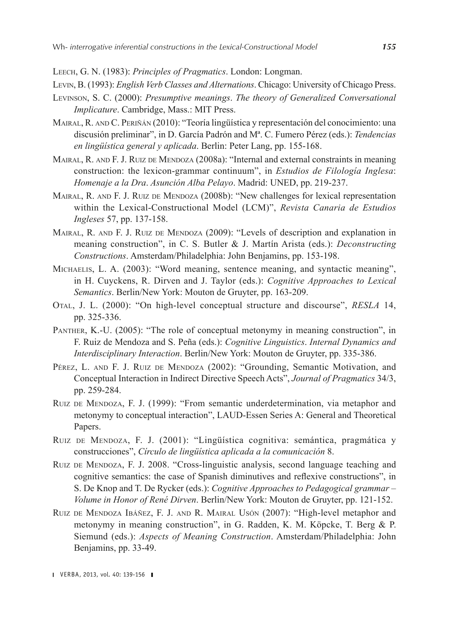Leech, G. N. (1983): *Principles of Pragmatics*. London: Longman.

- Levin, B. (1993): *English Verb Classes and Alternations*. Chicago: University of Chicago Press.
- Levinson, S. C. (2000): *Presumptive meanings*. *The theory of Generalized Conversational Implicature*. Cambridge, Mass.: MIT Press.
- Mairal, R. and C. Periñán (2010): "Teoría lingüística y representación del conocimiento: una discusión preliminar", in D. García Padrón and Mª. C. Fumero Pérez (eds.): *Tendencias en lingüística general y aplicada*. Berlin: Peter Lang, pp. 155-168.
- MAIRAL, R. AND F. J. RUIZ DE MENDOZA (2008a): "Internal and external constraints in meaning construction: the lexicon-grammar continuum", in *Estudios de Filología Inglesa*: *Homenaje a la Dra*. *Asunción Alba Pelayo*. Madrid: UNED, pp. 219‑237.
- MAIRAL, R. AND F. J. RUIZ DE MENDOZA (2008b): "New challenges for lexical representation within the Lexical-Constructional Model (LCM)", *Revista Canaria de Estudios Ingleses* 57, pp. 137-158.
- MAIRAL, R. AND F. J. RUIZ DE MENDOZA (2009): "Levels of description and explanation in meaning construction", in C. S. Butler & J. Martín Arista (eds.): *Deconstructing Constructions*. Amsterdam/Philadelphia: John Benjamins, pp. 153‑198.
- Michaelis, L. A. (2003): "Word meaning, sentence meaning, and syntactic meaning", in H. Cuyckens, R. Dirven and J. Taylor (eds.): *Cognitive Approaches to Lexical Semantics*. Berlin/New York: Mouton de Gruyter, pp. 163-209.
- Otal, J. L. (2000): "On high-level conceptual structure and discourse", *RESLA* 14, pp. 325-336.
- Panther, K.-U. (2005): "The role of conceptual metonymy in meaning construction", in F. Ruiz de Mendoza and S. Peña (eds.): *Cognitive Linguistics*. *Internal Dynamics and Interdisciplinary Interaction*. Berlin/New York: Mouton de Gruyter, pp. 335-386.
- Pérez, L. AND F. J. RUIZ DE MENDOZA (2002): "Grounding, Semantic Motivation, and Conceptual Interaction in Indirect Directive Speech Acts", *Journal of Pragmatics* 34/3, pp. 259-284.
- Ruiz de Mendoza, F. J. (1999): "From semantic underdetermination, via metaphor and metonymy to conceptual interaction", LAUD-Essen Series A: General and Theoretical Papers.
- Ruiz de Mendoza, F. J. (2001): "Lingüística cognitiva: semántica, pragmática y construcciones", *Círculo de lingüística aplicada a la comunicación* 8.
- Ruiz de Mendoza, F. J. 2008. "Cross-linguistic analysis, second language teaching and cognitive semantics: the case of Spanish diminutives and reflexive constructions", in S. De Knop and T. De Rycker (eds.): *Cognitive Approaches to Pedagogical grammar – Volume in Honor of René Dirven*. Berlin/New York: Mouton de Gruyter, pp. 121-152.
- Ruiz de Mendoza Ibáñez, F. J. and R. Mairal Usón (2007): "High-level metaphor and metonymy in meaning construction", in G. Radden, K. M. Köpcke, T. Berg & P. Siemund (eds.): *Aspects of Meaning Construction*. Amsterdam/Philadelphia: John Benjamins, pp. 33-49.